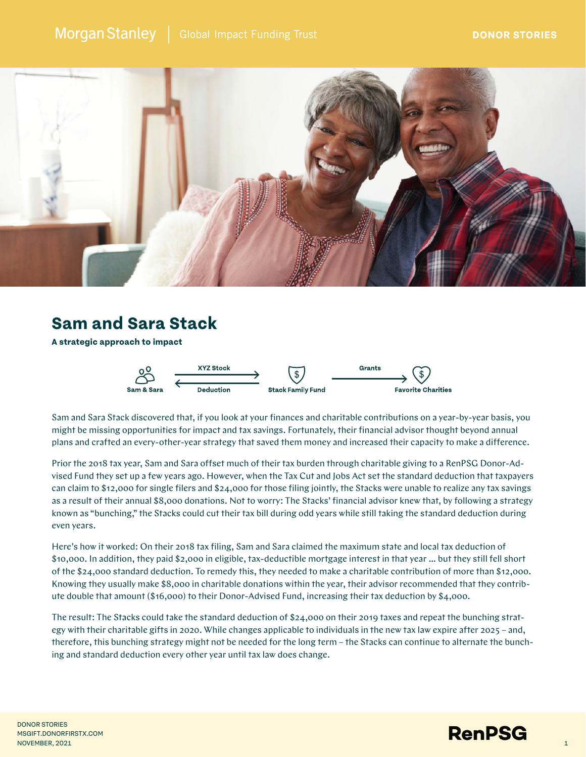

## **Sam and Sara Stack**

**A strategic approach to impact**



Sam and Sara Stack discovered that, if you look at your finances and charitable contributions on a year-by-year basis, you might be missing opportunities for impact and tax savings. Fortunately, their financial advisor thought beyond annual plans and crafted an every-other-year strategy that saved them money and increased their capacity to make a difference.

Prior the 2018 tax year, Sam and Sara offset much of their tax burden through charitable giving to a RenPSG Donor-Advised Fund they set up a few years ago. However, when the Tax Cut and Jobs Act set the standard deduction that taxpayers can claim to \$12,000 for single filers and \$24,000 for those filing jointly, the Stacks were unable to realize any tax savings as a result of their annual \$8,000 donations. Not to worry: The Stacks' financial advisor knew that, by following a strategy known as "bunching," the Stacks could cut their tax bill during odd years while still taking the standard deduction during even years.

Here's how it worked: On their 2018 tax filing, Sam and Sara claimed the maximum state and local tax deduction of \$10,000. In addition, they paid \$2,000 in eligible, tax-deductible mortgage interest in that year … but they still fell short of the \$24,000 standard deduction. To remedy this, they needed to make a charitable contribution of more than \$12,000. Knowing they usually make \$8,000 in charitable donations within the year, their advisor recommended that they contribute double that amount (\$16,000) to their Donor-Advised Fund, increasing their tax deduction by \$4,000.

The result: The Stacks could take the standard deduction of \$24,000 on their 2019 taxes and repeat the bunching strategy with their charitable gifts in 2020. While changes applicable to individuals in the new tax law expire after 2025 – and, therefore, this bunching strategy might not be needed for the long term – the Stacks can continue to alternate the bunching and standard deduction every other year until tax law does change.